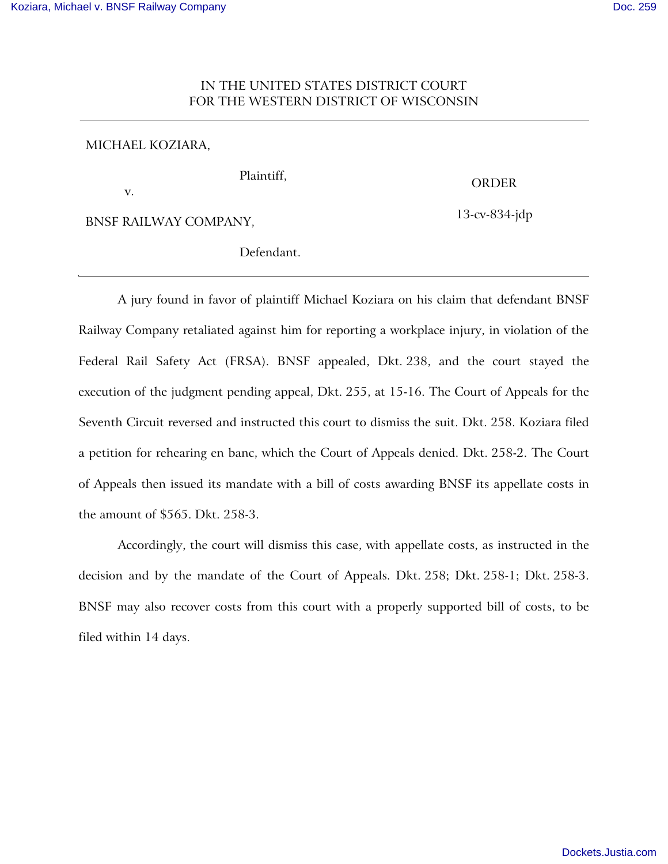## IN THE UNITED STATES DISTRICT COURT FOR THE WESTERN DISTRICT OF WISCONSIN

## MICHAEL KOZIARA,

v.

Plaintiff,

ORDER

13-cv-834-jdp

BNSF RAILWAY COMPANY,

Defendant.

A jury found in favor of plaintiff Michael Koziara on his claim that defendant BNSF Railway Company retaliated against him for reporting a workplace injury, in violation of the Federal Rail Safety Act (FRSA). BNSF appealed, Dkt. 238, and the court stayed the execution of the judgment pending appeal, Dkt. 255, at 15-16. The Court of Appeals for the Seventh Circuit reversed and instructed this court to dismiss the suit. Dkt. 258. Koziara filed a petition for rehearing en banc, which the Court of Appeals denied. Dkt. 258-2. The Court of Appeals then issued its mandate with a bill of costs awarding BNSF its appellate costs in the amount of \$565. Dkt. 258-3.

Accordingly, the court will dismiss this case, with appellate costs, as instructed in the decision and by the mandate of the Court of Appeals. Dkt. 258; Dkt. 258-1; Dkt. 258-3. BNSF may also recover costs from this court with a properly supported bill of costs, to be filed within 14 days.